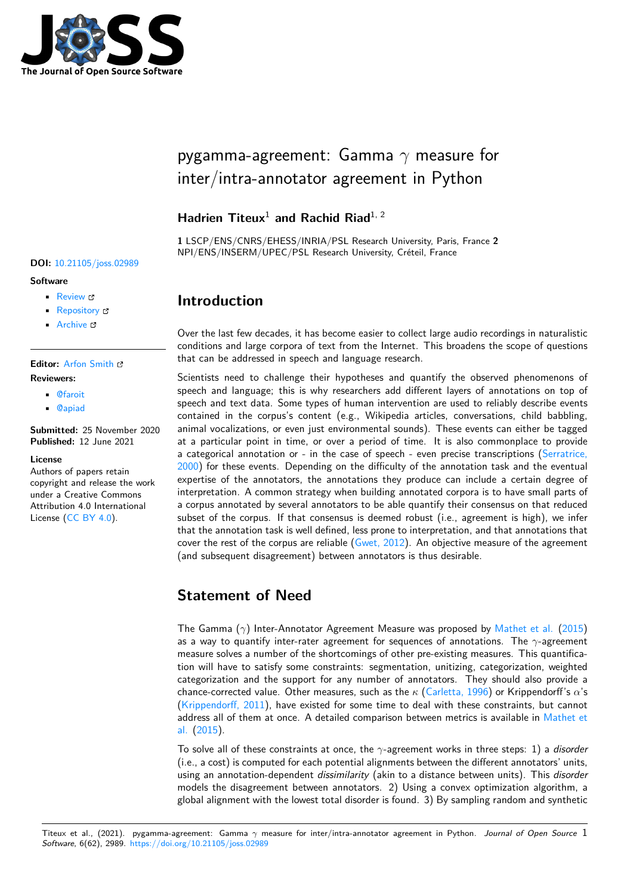

# pygamma-agreement: Gamma *γ* measure for inter/intra-annotator agreement in Python

# **Hadrien Titeux**<sup>1</sup> **and Rachid Riad**1, 2

**1** LSCP/ENS/CNRS/EHESS/INRIA/PSL Research University, Paris, France **2** NPI/ENS/INSERM/UPEC/PSL Research University, Créteil, France

# **Introduction**

Over the last few decades, it has become easier to collect large audio recordings in naturalistic conditions and large corpora of text from the Internet. This broadens the scope of questions that can be addressed in speech and language research.

Scientists need to challenge their hypotheses and quantify the observed phenomenons of speech and language; this is why researchers add different layers of annotations on top of speech and text data. Some types of human intervention are used to reliably describe events contained in the corpus's content (e.g., Wikipedia articles, conversations, child babbling, animal vocalizations, or even just environmental sounds). These events can either be tagged at a particular point in time, or over a period of time. It is also commonplace to provide a categorical annotation or - in the case of speech - even precise transcriptions (Serratrice, 2000) for these events. Depending on the difficulty of the annotation task and the eventual expertise of the annotators, the annotations they produce can include a certain degree of interpretation. A common strategy when building annotated corpora is to have small parts of a corpus annotated by several annotators to be able quantify their consensus on th[at reduced](#page-4-0) [subse](#page-4-0)t of the corpus. If that consensus is deemed robust (i.e., agreement is high), we infer that the annotation task is well defined, less prone to interpretation, and that annotations that cover the rest of the corpus are reliable (Gwet, 2012). An objective measure of the agreement (and subsequent disagreement) between annotators is thus desirable.

# **Statement of Need**

The Gamma (*γ*) Inter-Annotator Agreement Measure was proposed by Mathet et al. (2015) as a way to quantify inter-rater agreement for sequences of annotations. The *γ*-agreement measure solves a number of the shortcomings of other pre-existing measures. This quantification will have to satisfy some constraints: segmentation, unitizing, categorization, weighted categorization and the support for any number of annotators. They [should also pr](#page-4-1)o[vide a](#page-4-1) chance-corrected value. Other measures, such as the *κ* (Carletta, 1996) or Krippendorff's *α*'s (Krippendorff, 2011), have existed for some time to deal with these constraints, but cannot address all of them at once. A detailed comparison between metrics is available in Mathet et al. (2015).

To solve all of these constraints at once, the *γ*-agreeme[nt works in thr](#page-3-0)ee steps: 1) a *disorder* ([i.e., a cost\) is comp](#page-3-1)uted for each potential alignments between the different annotators' units, using an annotation-dependent *dissimilarity* (akin to a distance between units). This *[disorder](#page-4-1)* [models th](#page-4-1)e disagreement between annotators. 2) Using a convex optimization algorithm, a global alignment with the lowest total disorder is found. 3) By sampling random and synthetic

#### **DOI:** 10.21105/joss.02989

**Software**

- Review C
- [Repository](https://doi.org/10.21105/joss.02989) &
- Archive

# **Editor:** [Arfon Sm](https://github.com/bootphon/pygamma-agreement/)ith

#### **Revie[wers:](https://doi.org/10.5281/zenodo.4917244)**

- @faroit
- @[apiad](http://arfon.org/)

**Submitted:** 25 November 2020 **Publi[shed:](https://github.com/faroit)** 12 June 2021

#### **Licen[se](https://github.com/apiad)**

Authors of papers retain copyright and release the work under a Creative Commons Attribution 4.0 International License (CC BY 4.0).

Titeux et al., (2021). pygamma-agreement: Gamma *γ* measure for inter/intra-annotator agreement in Python. *Journal of Open Source* 1*Software*, 6(62), 2989. https://doi.org/10.21105/joss.02989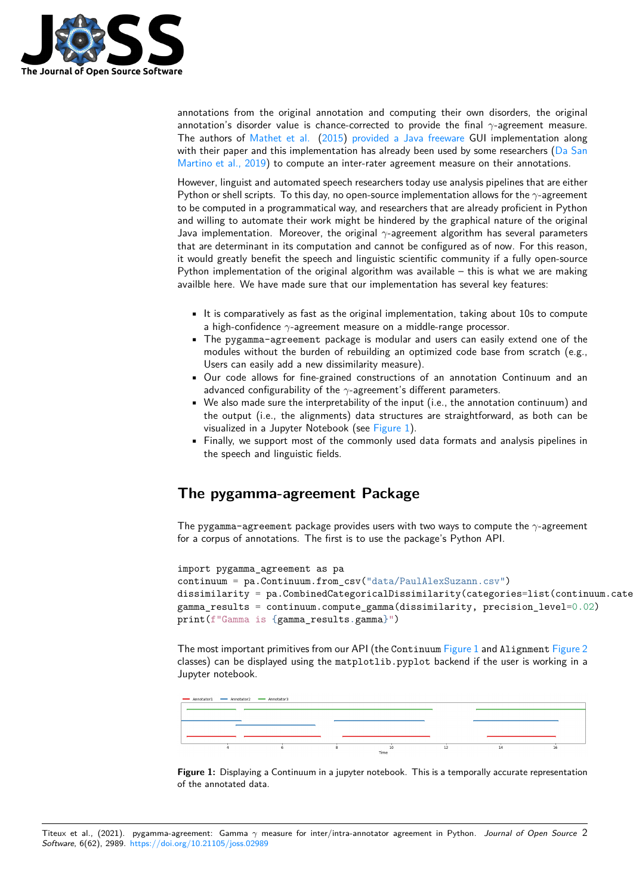

annotations from the original annotation and computing their own disorders, the original annotation's disorder value is chance-corrected to provide the final *γ*-agreement measure. The authors of Mathet et al. (2015) provided a Java freeware GUI implementation along with their paper and this implementation has already been used by some researchers (Da San Martino et al., 2019) to compute an inter-rater agreement measure on their annotations.

However, linguist and automated speech researchers today use analysis pipelines that are either Python or shell s[cripts. To this](#page-4-1) d[ay, no](#page-4-1) o[pen-source implementation](https://gamma.greyc.fr/) allows for the *γ*-agreement to be computed in a programmatical way, and researchers that are already proficient in [Python](#page-3-2) [and willing to autom](#page-3-2)ate their work might be hindered by the graphical nature of the original Java implementation. Moreover, the original *γ*-agreement algorithm has several parameters that are determinant in its computation and cannot be configured as of now. For this reason, it would greatly benefit the speech and linguistic scientific community if a fully open-source Python implementation of the original algorithm was available – this is what we are making availble here. We have made sure that our implementation has several key features:

- It is comparatively as fast as the original implementation, taking about 10s to compute a high-confidence *γ*-agreement measure on a middle-range processor.
- The pygamma-agreement package is modular and users can easily extend one of the modules without the burden of rebuilding an optimized code base from scratch (e.g., Users can easily add a new dissimilarity measure).
- Our code allows for fine-grained constructions of an annotation Continuum and an advanced configurability of the *γ*-agreement's different parameters.
- We also made sure the interpretability of the input (i.e., the annotation continuum) and the output (i.e., the alignments) data structures are straightforward, as both can be visualized in a Jupyter Notebook (see Figure 1).
- Finally, we support most of the commonly used data formats and analysis pipelines in the speech and linguistic fields.

# **The pygamma-agreement P[ackag](#page-1-0)e**

The pygamma-agreement package provides users with two ways to compute the *γ*-agreement for a corpus of annotations. The first is to use the package's Python API.

```
import pygamma_agreement as pa
continuum = pa.Continuum.from_csv("data/PaulAlexSuzann.csv")
dissimilarity = pa.CombinedCategoricalDissimilarity(categories=list(continuum.categor
gamma_results = continuum.compute_gamma(dissimilarity, precision_level=0.02)
print(f"Gamma is {gamma_results.gamma}")
```
The most important primitives from our API (the Continuum Figure 1 and Alignment Figure 2 classes) can be displayed using the matplotlib.pyplot backend if the user is working in a Jupyter notebook.



<span id="page-1-0"></span>**Figure 1:** Displaying a Continuum in a jupyter notebook. This is a temporally accurate representation of the annotated data.

Titeux et al., (2021). pygamma-agreement: Gamma *γ* measure for inter/intra-annotator agreement in Python. *Journal of Open Source* 2*Software*, 6(62), 2989. https://doi.org/10.21105/joss.02989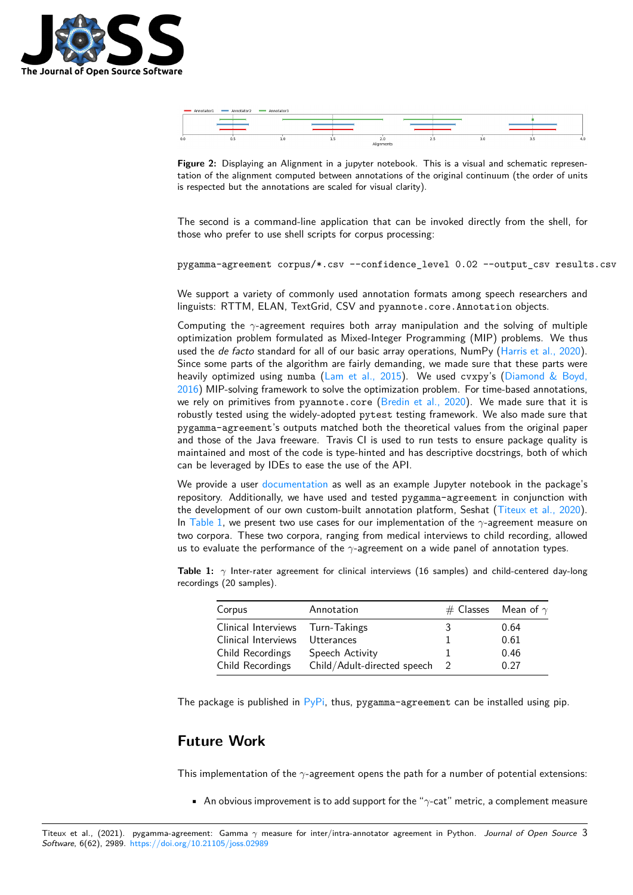

|     | Annotator1 | Annotator2 - Annotator3 |                   |   |     |  |
|-----|------------|-------------------------|-------------------|---|-----|--|
|     |            |                         |                   |   |     |  |
|     |            |                         |                   |   |     |  |
|     |            |                         |                   |   |     |  |
|     |            |                         |                   |   |     |  |
| 0.0 | <b></b>    |                         |                   | . | 3.U |  |
|     |            |                         | All companies and |   |     |  |

**Figure 2:** Displaying an Alignment in a jupyter notebook. This is a visual and schematic representation of the alignment computed between annotations of the original continuum (the order of units is respected but the annotations are scaled for visual clarity).

The second is a command-line application that can be invoked directly from the shell, for those who prefer to use shell scripts for corpus processing:

pygamma-agreement corpus/\*.csv --confidence\_level 0.02 --output\_csv results.csv

We support a variety of commonly used annotation formats among speech researchers and linguists: RTTM, ELAN, TextGrid, CSV and pyannote.core.Annotation objects.

Computing the *γ*-agreement requires both array manipulation and the solving of multiple optimization problem formulated as Mixed-Integer Programming (MIP) problems. We thus used the *de facto* standard for all of our basic array operations, NumPy (Harris et al., 2020). Since some parts of the algorithm are fairly demanding, we made sure that these parts were heavily optimized using numba (Lam et al., 2015). We used cvxpy's (Diamond & Boyd, 2016) MIP-solving framework to solve the optimization problem. For time-based annotations, we rely on primitives from pyannote.core (Bredin et al., 2020). We [made sure that it](#page-3-3) is robustly tested using the widely-adopted pytest testing framework. We also made sure that pygamma-agreement's outputs [matched both the](#page-4-2) theoretical values fro[m the original paper](#page-3-4) [and t](#page-3-4)hose of the Java freeware. Travis CI is used to run tests to ensure package quality is maintained and most of the code is type-hinte[d and has descriptiv](#page-3-5)e docstrings, both of which can be leveraged by IDEs to ease the use of the API.

We provide a user documentation as well as an example Jupyter notebook in the package's repository. Additionally, we have used and tested pygamma-agreement in conjunction with the development of our own custom-built annotation platform, Seshat (Titeux et al., 2020). In Table 1, we present two use cases for our implementation of the *γ*-agreement measure on two corpora. Thes[e two corpora, r](https://pygamma-agreement.readthedocs.io/en/latest/)anging from medical interviews to child recording, allowed us to evaluate the performance of the *γ*-agreement on a wide panel of annotation types.

**Ta[ble 1:](#page-2-0)** *γ* Inter-rater agreement for clinical interviews (16 samples) and c[hild-centered day-lon](#page-4-3)g recordings (20 samples).

<span id="page-2-0"></span>

| Corpus                           | Annotation                  | # Classes Mean of $\gamma$ |
|----------------------------------|-----------------------------|----------------------------|
| Clinical Interviews Turn-Takings |                             | 0.64                       |
| Clinical Interviews              | Utterances                  | 0.61                       |
| Child Recordings                 | Speech Activity             | 0.46                       |
| Child Recordings                 | Child/Adult-directed speech | 0.27                       |

The package is published in  $PyPi$ , thus, pygamma-agreement can be installed using pip.

### **Future Work**

This implementation of the *γ*-agreement opens the path for a number of potential extensions:

• An obvious improvement is to add support for the "*γ*-cat" metric, a complement measure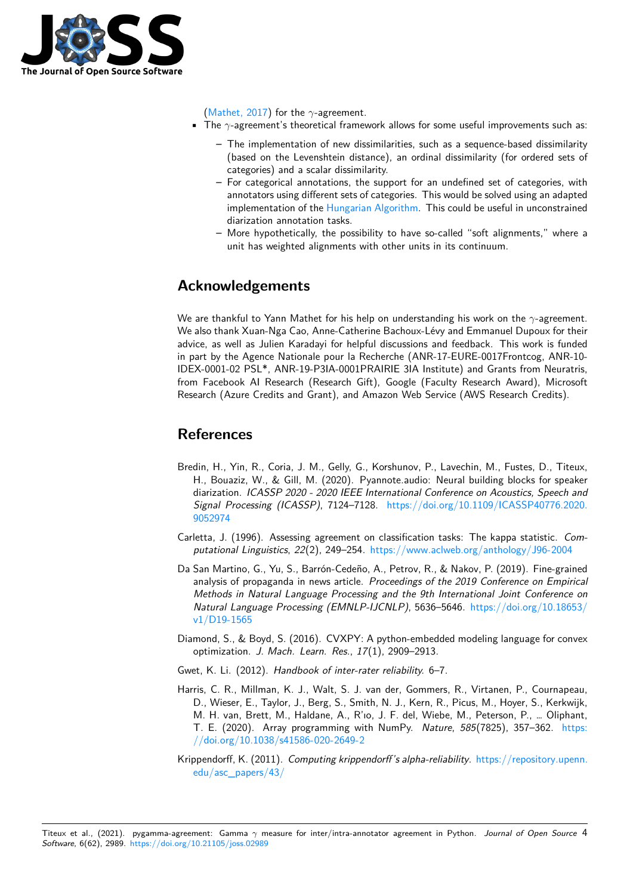

(Mathet, 2017) for the *γ*-agreement.

- The *γ*-agreement's theoretical framework allows for some useful improvements such as:
	- **–** The implementation of new dissimilarities, such as a sequence-based dissimilarity (based on the Levenshtein distance), an ordinal dissimilarity (for ordered sets of [categories](#page-4-4)) and a scalar dissimilarity.
	- **–** For categorical annotations, the support for an undefined set of categories, with annotators using different sets of categories. This would be solved using an adapted implementation of the Hungarian Algorithm. This could be useful in unconstrained diarization annotation tasks.
	- **–** More hypothetically, the possibility to have so-called "soft alignments," where a unit has weighted alignments with other units in its continuum.

# **Acknowledgements**

We are thankful to Yann Mathet for his help on understanding his work on the *γ*-agreement. We also thank Xuan-Nga Cao, Anne-Catherine Bachoux-Lévy and Emmanuel Dupoux for their advice, as well as Julien Karadayi for helpful discussions and feedback. This work is funded in part by the Agence Nationale pour la Recherche (ANR-17-EURE-0017Frontcog, ANR-10- IDEX-0001-02 PSL\*, ANR-19-P3IA-0001PRAIRIE 3IA Institute) and Grants from Neuratris, from Facebook AI Research (Research Gift), Google (Faculty Research Award), Microsoft Research (Azure Credits and Grant), and Amazon Web Service (AWS Research Credits).

# **References**

- Bredin, H., Yin, R., Coria, J. M., Gelly, G., Korshunov, P., Lavechin, M., Fustes, D., Titeux, H., Bouaziz, W., & Gill, M. (2020). Pyannote.audio: Neural building blocks for speaker diarization. *ICASSP 2020 - 2020 IEEE International Conference on Acoustics, Speech and Signal Processing (ICASSP)*, 7124–7128. https://doi.org/10.1109/ICASSP40776.2020. 9052974
- <span id="page-3-5"></span>Carletta, J. (1996). Assessing agreement on classification tasks: The kappa statistic. *Computational Linguistics*, *22*(2), 249–254. htt[ps://www.aclweb.org/anthology/J96-2004](https://doi.org/10.1109/ICASSP40776.2020.9052974)
- <span id="page-3-0"></span>Da [San Mart](https://doi.org/10.1109/ICASSP40776.2020.9052974)ino, G., Yu, S., Barrón-Cedeño, A., Petrov, R., & Nakov, P. (2019). Fine-grained analysis of propaganda in news article. *Proceedings of the 2019 Conference on Empirical Methods in Natural Language Processi[ng and the 9th International Joint Conference](https://www.aclweb.org/anthology/J96-2004) on Natural Language Processing (EMNLP-IJCNLP)*, 5636–5646. https://doi.org/10.18653/ v1/D19-1565
- <span id="page-3-2"></span>Diamond, S., & Boyd, S. (2016). CVXPY: A python-embedded modeling language for convex optimization. *J. Mach. Learn. Res.*, *17*(1), 2909–2913.
- Gw[et, K. Li. \(201](https://doi.org/10.18653/v1/D19-1565)2). *Handbook of inter-rater reliability.* 6–7.
- <span id="page-3-4"></span>Harris, C. R., Millman, K. J., Walt, S. J. van der, Gommers, R., Virtanen, P., Cournapeau, D., Wieser, E., Taylor, J., Berg, S., Smith, N. J., Kern, R., Picus, M., Hoyer, S., Kerkwijk, M. H. van, Brett, M., Haldane, A., R'ıo, J. F. del, Wiebe, M., Peterson, P., … Oliphant, T. E. (2020). Array programming with NumPy. *Nature*, *585*(7825), 357–362. https: //doi.org/10.1038/s41586-020-2649-2
- <span id="page-3-3"></span><span id="page-3-1"></span>Krippendorff, K. (2011). *Computing krippendorff's alpha-reliability*. https://repository.upenn. edu/asc\_papers/43/